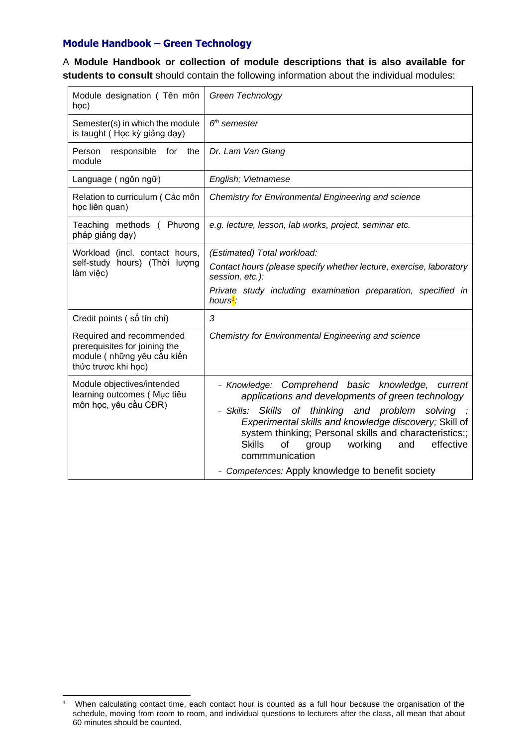## **Module Handbook – Green Technology**

A **Module Handbook or collection of module descriptions that is also available for students to consult** should contain the following information about the individual modules:

| Module designation (Tên môn<br>học)                                                                             | Green Technology                                                                                                                                                                                                                                                                                                                                                                                                   |
|-----------------------------------------------------------------------------------------------------------------|--------------------------------------------------------------------------------------------------------------------------------------------------------------------------------------------------------------------------------------------------------------------------------------------------------------------------------------------------------------------------------------------------------------------|
| Semester(s) in which the module<br>is taught (Học kỳ giảng dạy)                                                 | $6th$ semester                                                                                                                                                                                                                                                                                                                                                                                                     |
| Person<br>the<br>responsible<br>for<br>module                                                                   | Dr. Lam Van Giang                                                                                                                                                                                                                                                                                                                                                                                                  |
| Language (ngôn ngữ)                                                                                             | English; Vietnamese                                                                                                                                                                                                                                                                                                                                                                                                |
| Relation to curriculum (Các môn<br>học liên quan)                                                               | Chemistry for Environmental Engineering and science                                                                                                                                                                                                                                                                                                                                                                |
| Teaching methods ( Phương<br>pháp giảng dạy)                                                                    | e.g. lecture, lesson, lab works, project, seminar etc.                                                                                                                                                                                                                                                                                                                                                             |
| Workload (incl. contact hours,<br>self-study hours) (Thời lượng<br>làm việc)                                    | (Estimated) Total workload:<br>Contact hours (please specify whether lecture, exercise, laboratory<br>session, etc.):<br>Private study including examination preparation, specified in<br>hours <sup>1</sup> :                                                                                                                                                                                                     |
| Credit points (số tín chỉ)                                                                                      | 3                                                                                                                                                                                                                                                                                                                                                                                                                  |
| Required and recommended<br>prerequisites for joining the<br>module ( những yêu cầu kiến<br>thức trược khi học) | Chemistry for Environmental Engineering and science                                                                                                                                                                                                                                                                                                                                                                |
| Module objectives/intended<br>learning outcomes (Muc tiêu<br>môn học, yêu cầu CĐR)                              | - Knowledge: Comprehend basic knowledge, current<br>applications and developments of green technology<br>- Skills: Skills of thinking and problem solving<br>Experimental skills and knowledge discovery; Skill of<br>system thinking; Personal skills and characteristics;;<br><b>Skills</b><br>effective<br>of<br>working<br>group<br>and<br>commmunication<br>- Competences: Apply knowledge to benefit society |

<sup>1</sup> When calculating contact time, each contact hour is counted as a full hour because the organisation of the schedule, moving from room to room, and individual questions to lecturers after the class, all mean that about 60 minutes should be counted.